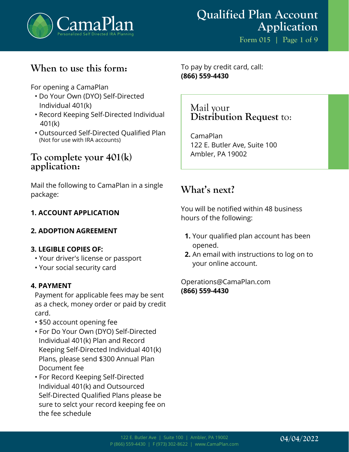

# **When to use this form:**

For opening a CamaPlan

- Do Your Own (DYO) Self-Directed Individual 401(k)
- Record Keeping Self-Directed Individual 401(k)
- Outsourced Self-Directed Qualified Plan (Not for use with IRA accounts)

## **To complete your 401(k) application:**

Mail the following to CamaPlan in a single package:

## **1. ACCOUNT APPLICATION**

## **2. ADOPTION AGREEMENT**

### **3. LEGIBLE COPIES OF:**

- Your driver's license or passport
- Your social security card

### **4. PAYMENT**

Payment for applicable fees may be sent as a check, money order or paid by credit card.

- \$50 account opening fee
- For Do Your Own (DYO) Self-Directed Individual 401(k) Plan and Record Keeping Self-Directed Individual 401(k) Plans, please send \$300 Annual Plan Document fee
- For Record Keeping Self-Directed Individual 401(k) and Outsourced Self-Directed Qualified Plans please be sure to selct your record keeping fee on the fee schedule

To pay by credit card, call: **(866) 559-4430**

> Mail your **Distribution Request** to:

CamaPlan 122 E. Butler Ave, Suite 100 Ambler, PA 19002

# **What's next?**

You will be notified within 48 business hours of the following:

- **1.** Your qualified plan account has been opened.
- **2.** An email with instructions to log on to your online account.

Operations@CamaPlan.com **(866) 559-4430**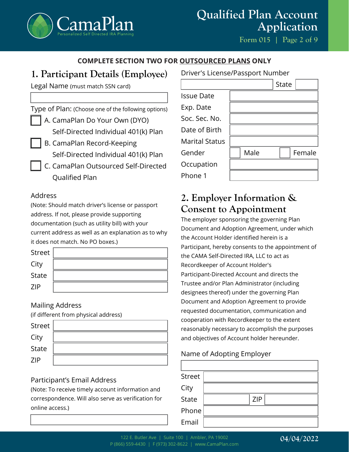

# **Qualified Plan Account Application**

**Form 015 | Page 2 of 9**

### **COMPLETE SECTION TWO FOR OUTSOURCED PLANS ONLY**

## **1. Participant Details (Employee)**

Legal Name (must match SSN card)

Type of Plan: (Choose one of the following options)

A. CamaPlan Do Your Own (DYO)

Self-Directed Individual 401(k) Plan

- B. CamaPlan Record-Keeping Self-Directed Individual 401(k) Plan
- C. CamaPlan Outsourced Self-Directed Qualified Plan

### Address

(Note: Should match driver's license or passport address. If not, please provide supporting documentation (such as utility bill) with your current address as well as an explanation as to why it does not match. No PO boxes.)

| Street       |  |
|--------------|--|
| City         |  |
| <b>State</b> |  |
| 7IP          |  |

### Mailing Address

(if different from physical address)

| Street       |  |
|--------------|--|
| City         |  |
| <b>State</b> |  |
| <b>ZIP</b>   |  |

## Participant's Email Address

(Note: To receive timely account information and correspondence. Will also serve as verification for online access.)

#### Driver's License/Passport Number

|                       |      | <b>State</b> |        |
|-----------------------|------|--------------|--------|
| <b>Issue Date</b>     |      |              |        |
| Exp. Date             |      |              |        |
| Soc. Sec. No.         |      |              |        |
| Date of Birth         |      |              |        |
| <b>Marital Status</b> |      |              |        |
| Gender                | Male |              | Female |
| Occupation            |      |              |        |
| Phone 1               |      |              |        |

# **2. Employer Information & Consent to Appointment**

The employer sponsoring the governing Plan Document and Adoption Agreement, under which the Account Holder identified herein is a Participant, hereby consents to the appointment of the CAMA Self-Directed IRA, LLC to act as Recordkeeper of Account Holder's Participant-Directed Account and directs the Trustee and/or Plan Administrator (including designees thereof) under the governing Plan Document and Adoption Agreement to provide requested documentation, communication and cooperation with Recordkeeper to the extent reasonably necessary to accomplish the purposes and objectives of Account holder hereunder.

## Name of Adopting Employer

| <b>Street</b> |            |
|---------------|------------|
| City          |            |
| State         | <b>ZIP</b> |
| Phone         |            |
| Email         |            |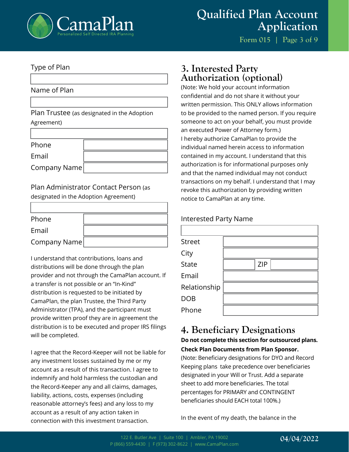

**Form 015 | Page 3 of 9**

#### Type of Plan

Name of Plan

Plan Trustee (as designated in the Adoption Agreement)

| Phone        |  |
|--------------|--|
| Email        |  |
| Company Name |  |

Plan Administrator Contact Person (as designated in the Adoption Agreement)

| Phone        |  |
|--------------|--|
| Email        |  |
| Company Name |  |

I understand that contributions, loans and distributions will be done through the plan provider and not through the CamaPlan account. If a transfer is not possible or an "In-Kind" distribution is requested to be initiated by CamaPlan, the plan Trustee, the Third Party Administrator (TPA), and the participant must provide written proof they are in agreement the distribution is to be executed and proper IRS filings will be completed.

I agree that the Record-Keeper will not be liable for any investment losses sustained by me or my account as a result of this transaction. I agree to indemnify and hold harmless the custodian and the Record-Keeper any and all claims, damages, liability, actions, costs, expenses (including reasonable attorney's fees) and any loss to my account as a result of any action taken in connection with this investment transaction.

## **3. Interested Party Authorization (optional)**

(Note: We hold your account information confidential and do not share it without your written permission. This ONLY allows information to be provided to the named person. If you require someone to act on your behalf, you must provide an executed Power of Attorney form.) I hereby authorize CamaPlan to provide the individual named herein access to information contained in my account. I understand that this authorization is for informational purposes only and that the named individual may not conduct transactions on my behalf. I understand that I may revoke this authorization by providing written notice to CamaPlan at any time.

#### Interested Party Name

| <b>ZIP</b> |
|------------|
|            |
|            |
|            |
|            |
|            |

# **4. Beneficiary Designations**

#### **Do not complete this section for outsourced plans. Check Plan Documents from Plan Sponsor.**

(Note: Beneficiary designations for DYO and Record Keeping plans take precedence over beneficiaries designated in your Will or Trust. Add a separate sheet to add more beneficiaries. The total percentages for PRIMARY and CONTINGENT beneficiaries should EACH total 100%.)

In the event of my death, the balance in the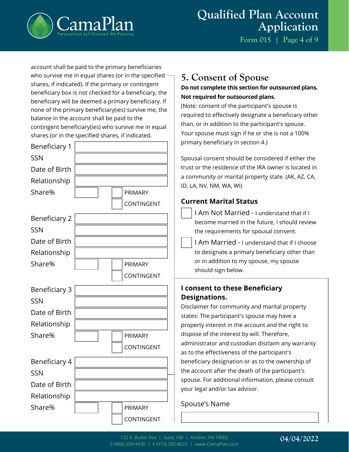

**Form 015 | Page 4 of 9**

account shall be paid to the primary beneficiaries who survive me in equal shares (or in the specified  $\cdot$ shares, if indicated). If the primary or contingent beneficiary box is not checked for a beneficiary, the beneficiary will be deemed a primary beneficiary. If none of the primary beneficiary(ies) survive me, the balance in the account shall be paid to the contingent beneficiary(ies) who survive me in equal shares (or in the specified shares, if indicated.

| Beneficiary 1        |                |
|----------------------|----------------|
| <b>SSN</b>           |                |
| Date of Birth        |                |
| Relationship         |                |
| Share%               | <b>PRIMARY</b> |
|                      | CONTINGENT     |
| Beneficiary 2        |                |
| <b>SSN</b>           |                |
| Date of Birth        |                |
| Relationship         |                |
| Share%               | PRIMARY        |
|                      | CONTINGENT     |
|                      |                |
| <b>Beneficiary 3</b> |                |
| <b>SSN</b>           |                |
| Date of Birth        |                |
| Relationship         |                |
| Share%               | PRIMARY        |
|                      | CONTINGENT     |
| Beneficiary 4        |                |
| SSN                  |                |
| Date of Birth        |                |
| Relationship         |                |
| Share%               | <b>PRIMARY</b> |

# **5. Consent of Spouse**

#### **Do not complete this section for outsourced plans. Not required for outsourced plans.**

(Note: consent of the participant's spouse is required to effectively designate a beneficiary other than, or in addition to the participant's spouse. Your spouse must sign if he or she is not a 100% primary beneficiary in section 4.)

Spousal consent should be considered if either the trust or the residence of the IRA owner is located in a community or marital property state. (AK, AZ, CA, ID, LA, NV, NM, WA, WI)

## **Current Marital Status**

- I Am Not Married I understand that if I become married in the future, I should review the requirements for spousal consent.
- I Am Married I understand that if I choose to designate a primary beneficiary other than or in addition to my spouse, my spouse should sign below.

## **I consent to these Beneficiary Designations.**

Disclaimer for community and marital property states: The participant's spouse may have a property interest in the account and the right to dispose of the interest by will. Therefore, administrator and custodian disclaim any warranty as to the effectiveness of the participant's beneficiary designation or as to the ownership of the account after the death of the participant's spouse. For additional information, please consult your legal and/or tax advisor.

## Spouse's Name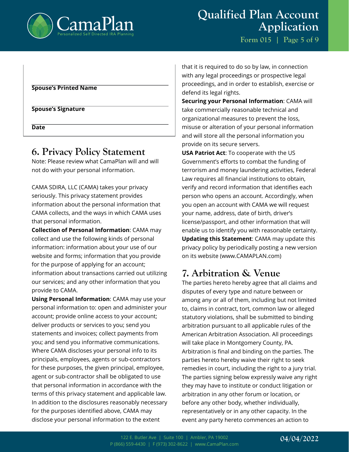

**Form 015 | Page 5 of 9**

#### **Spouse's Printed Name**

**Spouse's Signature**

**Date**

## **6. Privacy Policy Statement**

Note: Please review what CamaPlan will and will not do with your personal information.

CAMA SDIRA, LLC (CAMA) takes your privacy seriously. This privacy statement provides information about the personal information that CAMA collects, and the ways in which CAMA uses that personal information.

**Collection of Personal Information**: CAMA may collect and use the following kinds of personal information: information about your use of our website and forms; information that you provide for the purpose of applying for an account; information about transactions carried out utilizing our services; and any other information that you provide to CAMA.

**Using Personal Information**: CAMA may use your personal information to: open and administer your account; provide online access to your account; deliver products or services to you; send you statements and invoices; collect payments from you; and send you informative communications. Where CAMA discloses your personal info to its principals, employees, agents or sub-contractors for these purposes, the given principal, employee, agent or sub-contractor shall be obligated to use that personal information in accordance with the terms of this privacy statement and applicable law. In addition to the disclosures reasonably necessary for the purposes identified above, CAMA may disclose your personal information to the extent

that it is required to do so by law, in connection with any legal proceedings or prospective legal proceedings, and in order to establish, exercise or defend its legal rights.

**Securing your Personal Information**: CAMA will take commercially reasonable technical and organizational measures to prevent the loss, misuse or alteration of your personal information and will store all the personal information you provide on its secure servers.

**USA Patriot Act**: To cooperate with the US Government's efforts to combat the funding of terrorism and money laundering activities, Federal Law requires all financial institutions to obtain, verify and record information that identifies each person who opens an account. Accordingly, when you open an account with CAMA we will request your name, address, date of birth, driver's license/passport, and other information that will enable us to identify you with reasonable certainty. **Updating this Statement**: CAMA may update this privacy policy by periodically posting a new version on its website (www.CAMAPLAN.com)

# **7. Arbitration & Venue**

The parties hereto hereby agree that all claims and disputes of every type and nature between or among any or all of them, including but not limited to, claims in contract, tort, common law or alleged statutory violations, shall be submitted to binding arbitration pursuant to all applicable rules of the American Arbitration Association. All proceedings will take place in Montgomery County, PA. Arbitration is final and binding on the parties. The parties hereto hereby waive their right to seek remedies in court, including the right to a jury trial. The parties signing below expressly waive any right they may have to institute or conduct litigation or arbitration in any other forum or location, or before any other body, whether individually, representatively or in any other capacity. In the event any party hereto commences an action to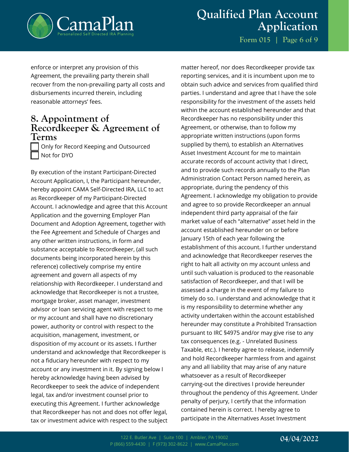

# **Qualified Plan Account Application**

**Form 015 | Page 6 of 9**

enforce or interpret any provision of this Agreement, the prevailing party therein shall recover from the non-prevailing party all costs and disbursements incurred therein, including reasonable attorneys' fees.

## **8. Appointment of Recordkeeper & Agreement of Terms**

Only for Record Keeping and Outsourced Not for DYO

By execution of the instant Participant-Directed Account Application, I, the Participant hereunder, hereby appoint CAMA Self-Directed IRA, LLC to act as Recordkeeper of my Participant-Directed Account. I acknowledge and agree that this Account Application and the governing Employer Plan Document and Adoption Agreement, together with the Fee Agreement and Schedule of Charges and any other written instructions, in form and substance acceptable to Recordkeeper, (all such documents being incorporated herein by this reference) collectively comprise my entire agreement and govern all aspects of my relationship with Recordkeeper. I understand and acknowledge that Recordkeeper is not a trustee, mortgage broker, asset manager, investment advisor or loan servicing agent with respect to me or my account and shall have no discretionary power, authority or control with respect to the acquisition, management, investment, or disposition of my account or its assets. I further understand and acknowledge that Recordkeeper is not a fiduciary hereunder with respect to my account or any investment in it. By signing below I hereby acknowledge having been advised by Recordkeeper to seek the advice of independent legal, tax and/or investment counsel prior to executing this Agreement. I further acknowledge that Recordkeeper has not and does not offer legal, tax or investment advice with respect to the subject

matter hereof, nor does Recordkeeper provide tax reporting services, and it is incumbent upon me to obtain such advice and services from qualified third parties. I understand and agree that I have the sole responsibility for the investment of the assets held within the account established hereunder and that Recordkeeper has no responsibility under this Agreement, or otherwise, than to follow my appropriate written instructions (upon forms supplied by them), to establish an Alternatives Asset Investment Account for me to maintain accurate records of account activity that I direct, and to provide such records annually to the Plan Administration Contact Person named herein, as appropriate, during the pendency of this Agreement. I acknowledge my obligation to provide and agree to so provide Recordkeeper an annual independent third party appraisal of the fair market value of each "alternative" asset held in the account established hereunder on or before January 15th of each year following the establishment of this account. I further understand and acknowledge that Recordkeeper reserves the right to halt all activity on my account unless and until such valuation is produced to the reasonable satisfaction of Recordkeeper, and that I will be assessed a charge in the event of my failure to timely do so. I understand and acknowledge that it is my responsibility to determine whether any activity undertaken within the account established hereunder may constitute a Prohibited Transaction pursuant to IRC §4975 and/or may give rise to any tax consequences (e.g. - Unrelated Business Taxable, etc.). I hereby agree to release, indemnify and hold Recordkeeper harmless from and against any and all liability that may arise of any nature whatsoever as a result of Recordkeeper carrying-out the directives I provide hereunder throughout the pendency of this Agreement. Under penalty of perjury, I certify that the information contained herein is correct. I hereby agree to participate in the Alternatives Asset Investment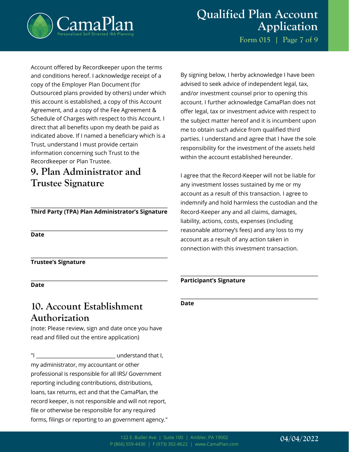

Account offered by Recordkeeper upon the terms and conditions hereof. I acknowledge receipt of a copy of the Employer Plan Document (for Outsourced plans provided by others) under which this account is established, a copy of this Account Agreement, and a copy of the Fee Agreement & Schedule of Charges with respect to this Account. I direct that all benefits upon my death be paid as indicated above. If I named a beneficiary which is a Trust, understand I must provide certain information concerning such Trust to the Recordkeeper or Plan Trustee.

# **9. Plan Administrator and Trustee Signature**

#### **Third Party (TPA) Plan Administrator's Signature**

**Date**

**Trustee's Signature**

**Date**

## **10. Account Establishment Authorization**

(note: Please review, sign and date once you have read and filled out the entire application)

"I \_\_\_\_\_\_\_\_\_\_\_\_\_\_\_\_\_\_\_\_\_\_\_\_\_\_\_\_\_\_\_ understand that I, my administrator, my accountant or other professional is responsible for all IRS/ Government reporting including contributions, distributions, loans, tax returns, ect and that the CamaPlan, the record keeper, is not responsible and will not report, file or otherwise be responsible for any required forms, filings or reporting to an government agency."

By signing below, I herby acknowledge I have been advised to seek advice of independent legal, tax, and/or investment counsel prior to opening this account. I further acknowledge CamaPlan does not offer legal, tax or investment advice with respect to the subject matter hereof and it is incumbent upon me to obtain such advice from qualified third parties. I understand and agree that I have the sole responsibility for the investment of the assets held within the account established hereunder.

I agree that the Record-Keeper will not be liable for any investment losses sustained by me or my account as a result of this transaction. I agree to indemnify and hold harmless the custodian and the Record-Keeper any and all claims, damages, liability, actions, costs, expenses (including reasonable attorney's fees) and any loss to my account as a result of any action taken in connection with this investment transaction.

#### **Participant's Signature**

**Date**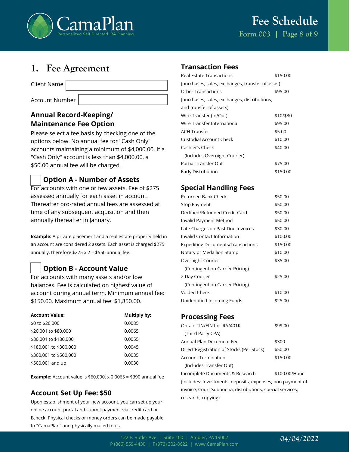

## **1. Fee Agreement**

Client Name

Account Number

#### **Annual Record-Keeping/ Maintenance Fee Option**

Please select a fee basis by checking one of the options below. No annual fee for "Cash Only" accounts maintaining a minimum of \$4,000.00. If a "Cash Only" account is less than \$4,000.00, a \$50.00 annual fee will be charged.

#### **Option A - Number of Assets**

For accounts with one or few assets. Fee of \$275 assessed annually for each asset in account. Thereafter pro-rated annual fees are assessed at time of any subsequent acquisition and then annually thereafter in January.

**Example:** A private placement and a real estate property held in an account are considered 2 assets. Each asset is charged \$275 annually, therefore  $$275 \times 2 = $550$  annual fee.

## **Option B - Account Value**

For accounts with many assets and/or low balances. Fee is calculated on highest value of account during annual term. Minimum annual fee: \$150.00. Maximum annual fee: \$1,850.00.

| <b>Account Value:</b>  | Multiply by: |
|------------------------|--------------|
| \$0 to \$20,000        | 0.0085       |
| \$20,001 to \$80,000   | 0.0065       |
| \$80,001 to \$180,000  | 0.0055       |
| \$180,001 to \$300,000 | 0.0045       |
| \$300,001 to \$500,000 | 0.0035       |
| \$500,001 and up       | 0.0030       |

**Example:** Account value is \$60,000. x 0.0065 = \$390 annual fee

### **Account Set Up Fee: \$50**

Upon establishment of your new account, you can set up your online account portal and submit payment via credit card or Echeck. Physical checks or money orders can be made payable to "CamaPlan" and physically mailed to us.

#### **Transaction Fees**

| <b>Real Estate Transactions</b>                  | \$150.00  |
|--------------------------------------------------|-----------|
| (purchases, sales, exchanges, transfer of asset) |           |
| <b>Other Transactions</b>                        | \$95.00   |
| (purchases, sales, exchanges, distributions,     |           |
| and transfer of assets)                          |           |
| Wire Transfer (In/Out)                           | \$10/\$30 |
| Wire Transfer International                      | \$95.00   |
| <b>ACH Transfer</b>                              | \$5.00    |
| Custodial Account Check                          | \$10.00   |
| Cashier's Check                                  | \$40.00   |
| (Includes Overnight Courier)                     |           |
| Partial Transfer Out                             | \$75.00   |
| Early Distribution                               | \$150.00  |
|                                                  |           |

#### **Special Handling Fees**

| Returned Bank Check                      | \$50.00  |
|------------------------------------------|----------|
| Stop Payment                             | \$50.00  |
| Declined/Refunded Credit Card            | \$50.00  |
| Invalid Payment Method                   | \$50.00  |
| Late Charges on Past Due Invoices        | \$30.00  |
| Invalid Contact Information              | \$100.00 |
| <b>Expediting Documents/Transactions</b> | \$150.00 |
| Notary or Medallion Stamp                | \$10.00  |
| Overnight Courier                        | \$35.00  |
| (Contingent on Carrier Pricing)          |          |
| 2 Day Courier                            | \$25.00  |
| (Contingent on Carrier Pricing)          |          |
| Voided Check                             | \$10.00  |
| Unidentified Incoming Funds              | \$25.00  |

#### **Processing Fees**

| Obtain TIN/EIN for IRA/401K               | \$99.00       |
|-------------------------------------------|---------------|
| (Third Party CPA)                         |               |
| Annual Plan Document Fee                  | \$300         |
| Direct Registration of Stocks (Per Stock) | \$50.00       |
| Account Termination                       | \$150.00      |
| (Includes Transfer Out)                   |               |
| Incomplete Documents & Research           | \$100.00/Hour |

(Includes: Investments, deposits, expenses, non payment of invoice, Court Subpoena, distributions, special services, research, copying)